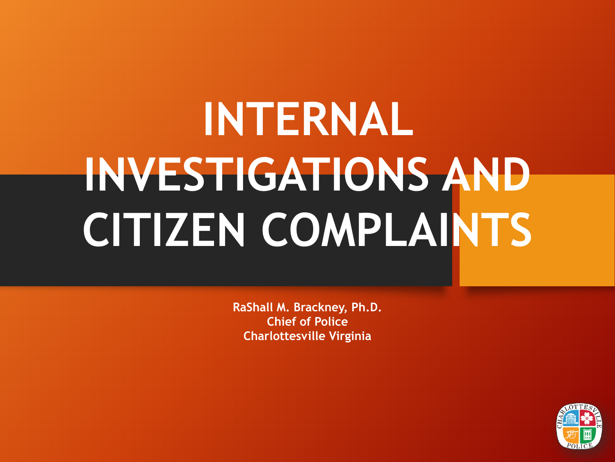# **INTERNAL INVESTIGATIONS AND CITIZEN COMPLAINTS**

**RaShall M. Brackney, Ph.D. Chief of Police Charlottesville Virginia**

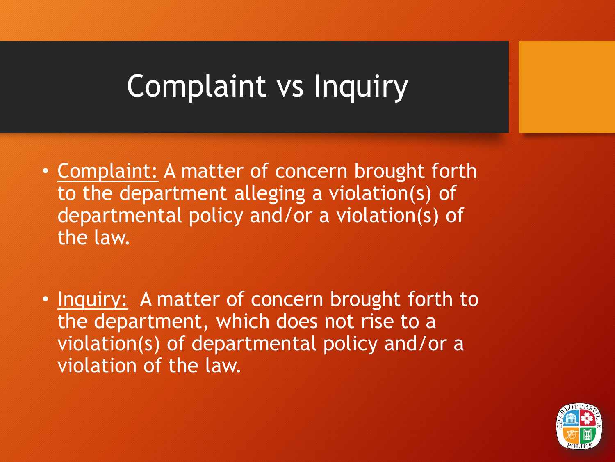# Complaint vs Inquiry

- Complaint: A matter of concern brought forth to the department alleging a violation(s) of departmental policy and/or a violation(s) of the law.
- Inquiry: A matter of concern brought forth to the department, which does not rise to a violation(s) of departmental policy and/or a violation of the law.

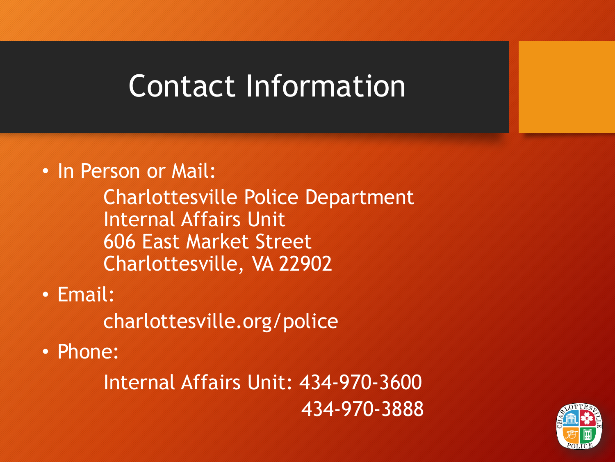# Contact Information

#### • In Person or Mail:

Charlottesville Police Department Internal Affairs Unit 606 East Market Street Charlottesville, VA 22902

• Email:

charlottesville.org/police

• Phone:

Internal Affairs Unit: 434-970-3600 434-970-3888

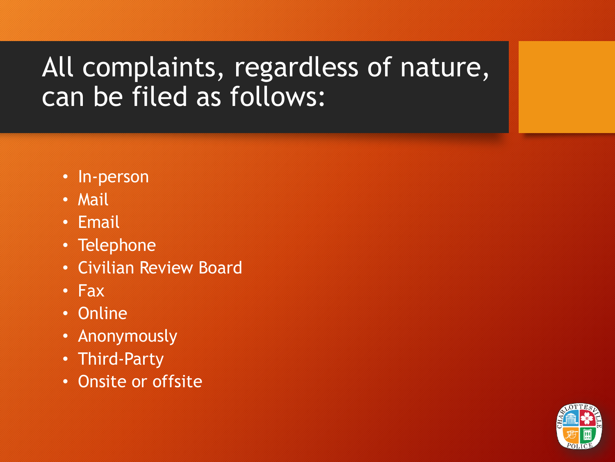#### All complaints, regardless of nature, can be filed as follows:

- In-person
- Mail
- Email
- Telephone
- Civilian Review Board
- Fax
- Online
- Anonymously
- Third-Party
- Onsite or offsite

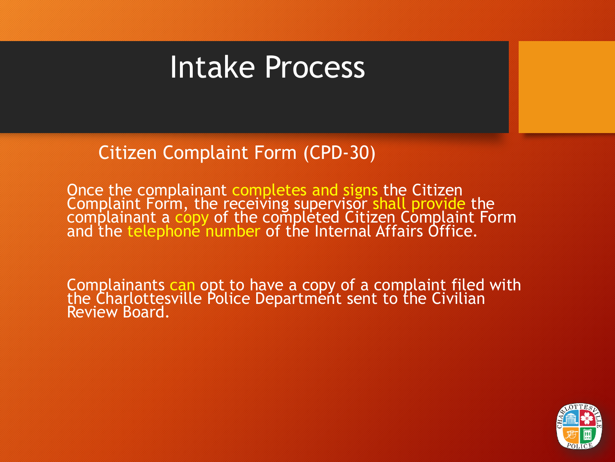### Intake Process

Citizen Complaint Form (CPD-30)

Once the complainant completes and signs the Citizen Complaint Form, the receiving supervisor shall provide the complainant a copy of the completed Citizen Complaint Form<br>and the telephone number of the Internal Affairs Office.

Complainants can opt to have a copy of a complaint filed with the Charlottesville Police Department sent to the Civilian Review Board.

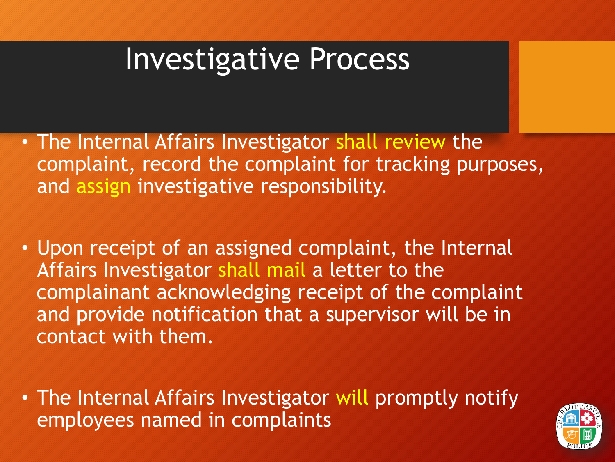- The Internal Affairs Investigator shall review the complaint, record the complaint for tracking purposes, and assign investigative responsibility.
- Upon receipt of an assigned complaint, the Internal Affairs Investigator shall mail a letter to the complainant acknowledging receipt of the complaint and provide notification that a supervisor will be in contact with them.
- The Internal Affairs Investigator will promptly notify employees named in complaints

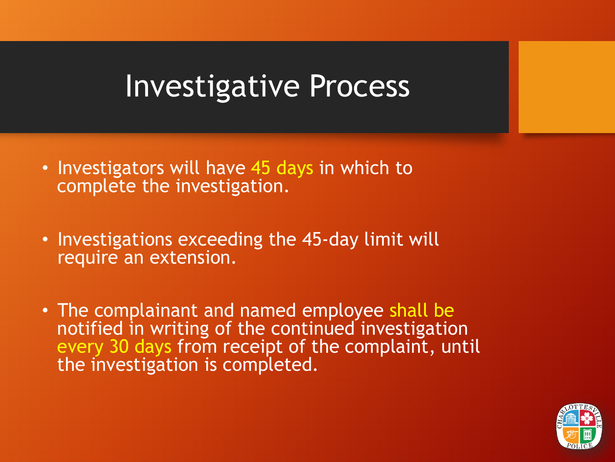- Investigators will have 45 days in which to complete the investigation.
- Investigations exceeding the 45-day limit will require an extension.
- The complainant and named employee shall be notified in writing of the continued investigation every 30 days from receipt of the complaint, until the investigation is completed.

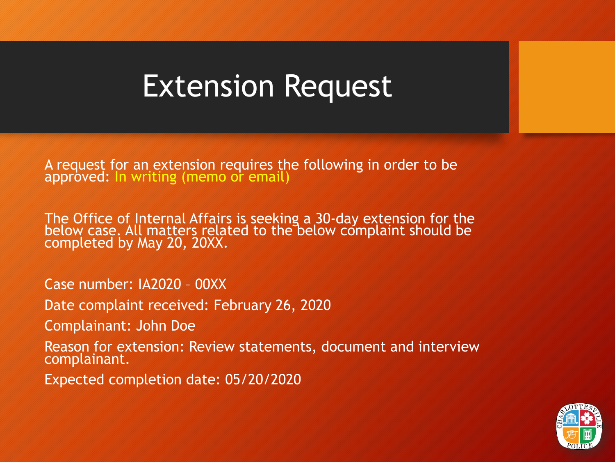#### Extension Request

A request for an extension requires the following in order to be approved: In writing (memo or email)

The Office of Internal Affairs is seeking a 30-day extension for the below case. All matters related to the below complaint should be completed by May 20, 20XX.

Case number: IA2020 – 00XX

Date complaint received: February 26, 2020

Complainant: John Doe

Reason for extension: Review statements, document and interview complainant.

Expected completion date: 05/20/2020

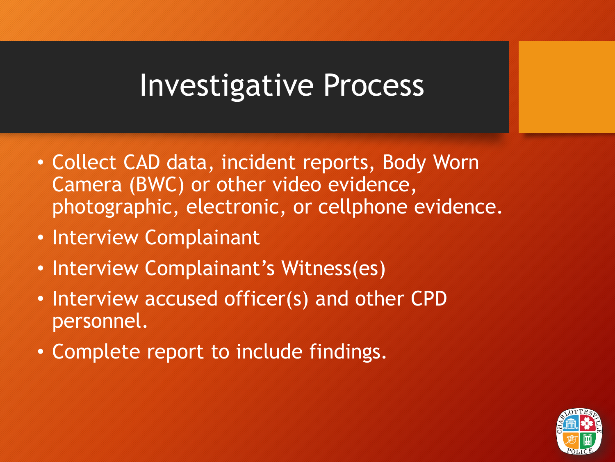- Collect CAD data, incident reports, Body Worn Camera (BWC) or other video evidence, photographic, electronic, or cellphone evidence.
- Interview Complainant
- Interview Complainant's Witness(es)
- Interview accused officer(s) and other CPD personnel.
- Complete report to include findings.

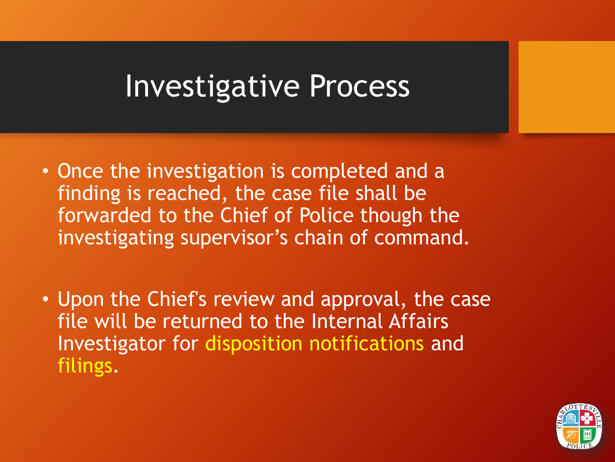- Once the investigation is completed and a finding is reached, the case file shall be forwarded to the Chief of Police though the investigating supervisor's chain of command.
- Upon the Chief's review and approval, the case file will be returned to the Internal Affairs Investigator for disposition notifications and filings.

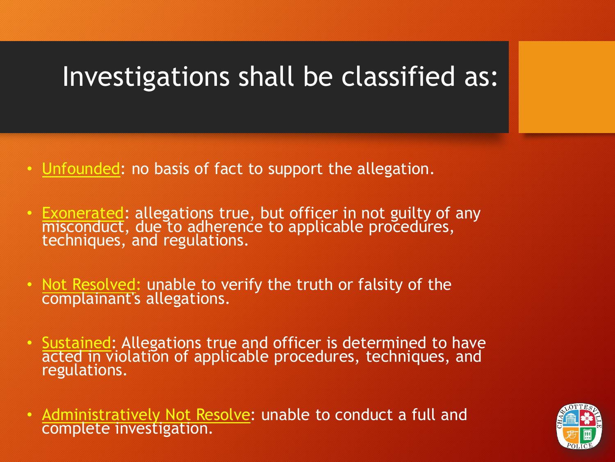#### Investigations shall be classified as:

- Unfounded: no basis of fact to support the allegation.
- Exonerated: allegations true, but officer in not guilty of any misconduct, due to adherence to applicable procedures, techniques, and regulations.
- Not Resolved: unable to verify the truth or falsity of the complainant's allegations.
- Sustained: Allegations true and officer is determined to have acted in violation of applicable procedures, techniques, and regulations.
- Administratively Not Resolve: unable to conduct a full and complete investigation.

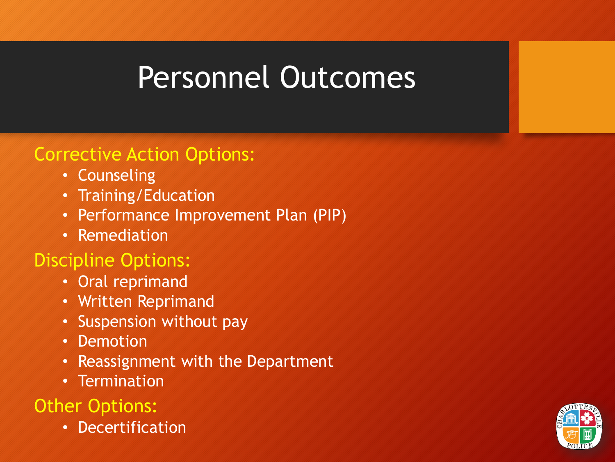# Personnel Outcomes

#### Corrective Action Options:

- Counseling
- Training/Education
- Performance Improvement Plan (PIP)
- Remediation

#### Discipline Options:

- Oral reprimand
- Written Reprimand
- Suspension without pay
- Demotion
- Reassignment with the Department
- Termination

#### Other Options:

• Decertification

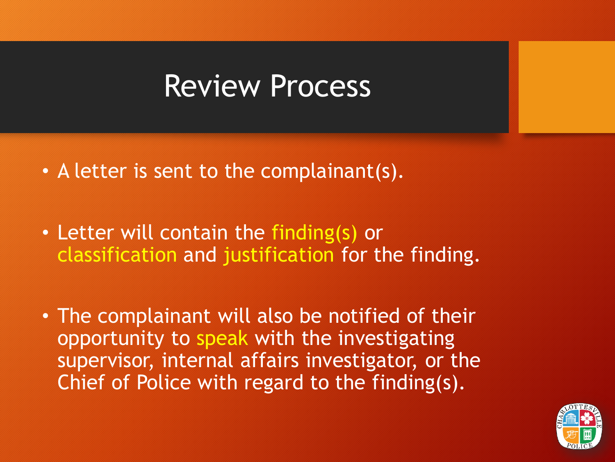#### Review Process

- A letter is sent to the complainant(s).
- Letter will contain the finding(s) or classification and justification for the finding.
- The complainant will also be notified of their opportunity to speak with the investigating supervisor, internal affairs investigator, or the Chief of Police with regard to the finding(s).

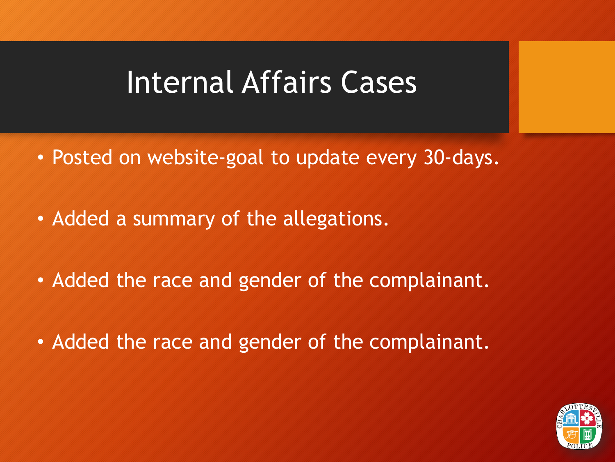### Internal Affairs Cases

- Posted on website-goal to update every 30-days.
- Added a summary of the allegations.
- Added the race and gender of the complainant.
- Added the race and gender of the complainant.